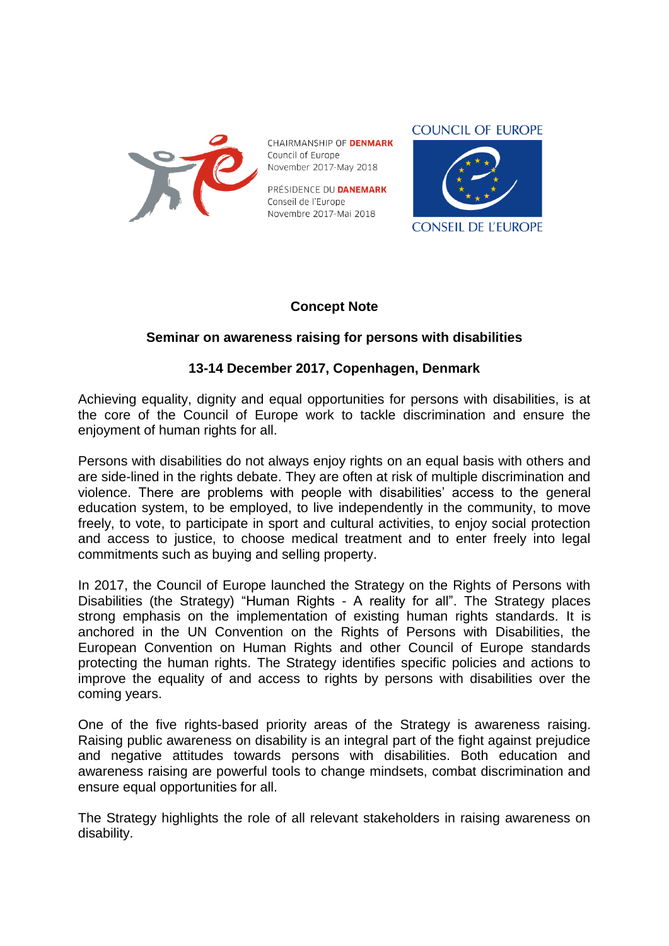

CHAIRMANSHIP OF **DENMARK** Council of Europe November 2017-May 2018

PRÉSIDENCE DU **DANEMARK** Conseil de l'Europe Novembre 2017-Mai 2018



### **Concept Note**

# **Seminar on awareness raising for persons with disabilities**

### **13-14 December 2017, Copenhagen, Denmark**

Achieving equality, dignity and equal opportunities for persons with disabilities, is at the core of the Council of Europe work to tackle discrimination and ensure the enjoyment of human rights for all.

Persons with disabilities do not always enjoy rights on an equal basis with others and are side-lined in the rights debate. They are often at risk of multiple discrimination and violence. There are problems with people with disabilities' access to the general education system, to be employed, to live independently in the community, to move freely, to vote, to participate in sport and cultural activities, to enjoy social protection and access to justice, to choose medical treatment and to enter freely into legal commitments such as buying and selling property.

In 2017, the Council of Europe launched the Strategy on the Rights of Persons with Disabilities (the Strategy) "Human Rights - A reality for all". The Strategy places strong emphasis on the implementation of existing human rights standards. It is anchored in the UN Convention on the Rights of Persons with Disabilities, the European Convention on Human Rights and other Council of Europe standards protecting the human rights. The Strategy identifies specific policies and actions to improve the equality of and access to rights by persons with disabilities over the coming years.

One of the five rights-based priority areas of the Strategy is awareness raising. Raising public awareness on disability is an integral part of the fight against prejudice and negative attitudes towards persons with disabilities. Both education and awareness raising are powerful tools to change mindsets, combat discrimination and ensure equal opportunities for all.

The Strategy highlights the role of all relevant stakeholders in raising awareness on disability.